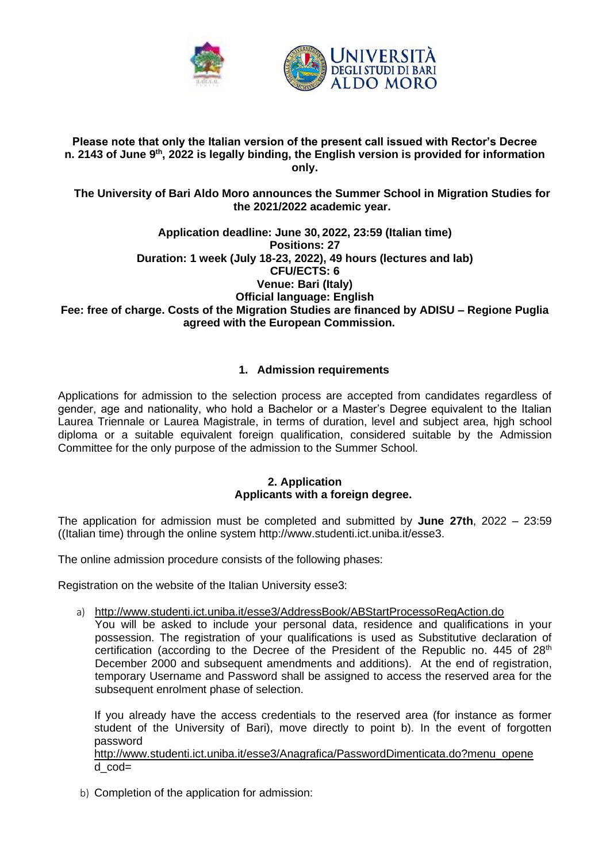

#### **Please note that only the Italian version of the present call issued with Rector's Decree n. 2143 of June 9 th , 2022 is legally binding, the English version is provided for information only.**

### **The University of Bari Aldo Moro announces the Summer School in Migration Studies for the 2021/2022 academic year.**

#### **Application deadline: June 30, 2022, 23:59 (Italian time) Positions: 27 Duration: 1 week (July 18-23, 2022), 49 hours (lectures and lab) CFU/ECTS: 6 Venue: Bari (Italy) Official language: English Fee: free of charge. Costs of the Migration Studies are financed by ADISU – Regione Puglia agreed with the European Commission.**

# **1. Admission requirements**

Applications for admission to the selection process are accepted from candidates regardless of gender, age and nationality, who hold a Bachelor or a Master's Degree equivalent to the Italian Laurea Triennale or Laurea Magistrale, in terms of duration, level and subject area, hjgh school diploma or a suitable equivalent foreign qualification, considered suitable by the Admission Committee for the only purpose of the admission to the Summer School.

### **2. Application Applicants with a foreign degree.**

The application for admission must be completed and submitted by **June 27th**, 2022 – 23:59 ((Italian time) through the online system [http://www.studenti.ict.uniba.it/esse3.](http://www.studenti.ict.uniba.it/esse3)

The online admission procedure consists of the following phases:

Registration on the website of the Italian University esse3:

a) <http://www.studenti.ict.uniba.it/esse3/AddressBook/ABStartProcessoRegAction.do>

You will be asked to include your personal data, residence and qualifications in your possession. The registration of your qualifications is used as Substitutive declaration of certification (according to the Decree of the President of the Republic no.  $445$  of  $28<sup>th</sup>$ December 2000 and subsequent amendments and additions). At the end of registration, temporary Username and Password shall be assigned to access the reserved area for the subsequent enrolment phase of selection.

If you already have the access credentials to the reserved area (for instance as former student of the University of Bari), move directly to point b). In the event of forgotten password

[http://www.studenti.ict.uniba.it/esse3/Anagrafica/PasswordDimenticata.do?menu\\_opene](http://www.studenti.ict.uniba.it/esse3/Anagrafica/PasswordDimenticata.do?menu_opene%20) [d\\_cod=](http://www.studenti.ict.uniba.it/esse3/Anagrafica/PasswordDimenticata.do?menu_opened_cod)

b) Completion of the application for admission: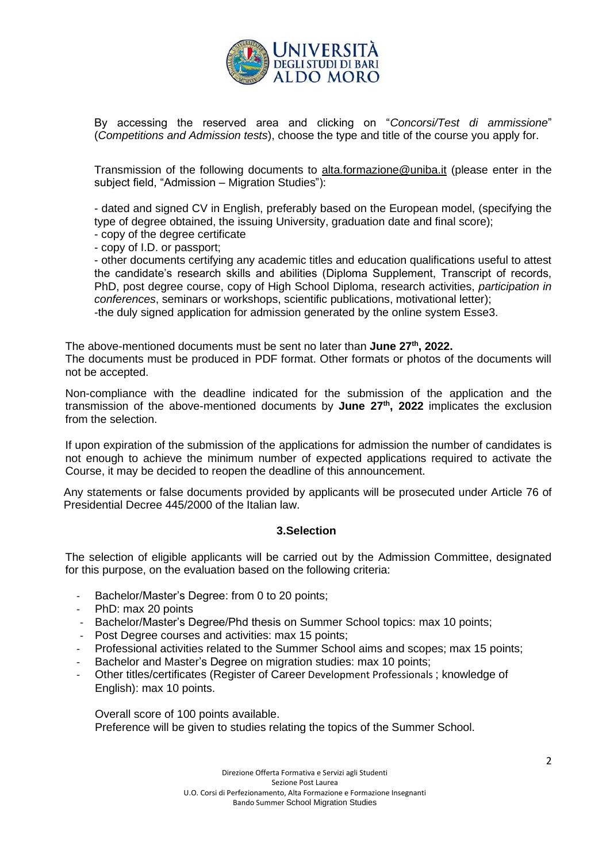

By accessing the reserved area and clicking on "*Concorsi/Test di ammissione*" (*Competitions and Admission tests*), choose the type and title of the course you apply for.

Transmission of the following documents to [alta.formazione@uniba.it](mailto:alta.formazione@uniba.it) (please enter in the subject field, "Admission – Migration Studies"):

- dated and signed CV in English, preferably based on the European model, (specifying the type of degree obtained, the issuing University, graduation date and final score);

- copy of the degree certificate

- copy of I.D. or passport;

- other documents certifying any academic titles and education qualifications useful to attest the candidate's research skills and abilities (Diploma Supplement, Transcript of records, PhD, post degree course, copy of High School Diploma, research activities, *participation in conferences*, seminars or workshops, scientific publications, motivational letter);

-the duly signed application for admission generated by the online system Esse3.

The above-mentioned documents must be sent no later than **June 27th, 2022.**

The documents must be produced in PDF format. Other formats or photos of the documents will not be accepted.

Non-compliance with the deadline indicated for the submission of the application and the transmission of the above-mentioned documents by **June 27th , 2022** implicates the exclusion from the selection.

If upon expiration of the submission of the applications for admission the number of candidates is not enough to achieve the minimum number of expected applications required to activate the Course, it may be decided to reopen the deadline of this announcement.

Any statements or false documents provided by applicants will be prosecuted under Article 76 of Presidential Decree 445/2000 of the Italian law.

### **3.Selection**

The selection of eligible applicants will be carried out by the Admission Committee, designated for this purpose, on the evaluation based on the following criteria:

- Bachelor/Master's Degree: from 0 to 20 points;
- PhD: max 20 points
- Bachelor/Master's Degree/Phd thesis on Summer School topics: max 10 points;
- Post Degree courses and activities: max 15 points;
- Professional activities related to the Summer School aims and scopes; max 15 points;
- Bachelor and Master's Degree on migration studies: max 10 points;
- Other titles/certificates (Register of Career Development Professionals ; knowledge of English): max 10 points.

Overall score of 100 points available. Preference will be given to studies relating the topics of the Summer School.